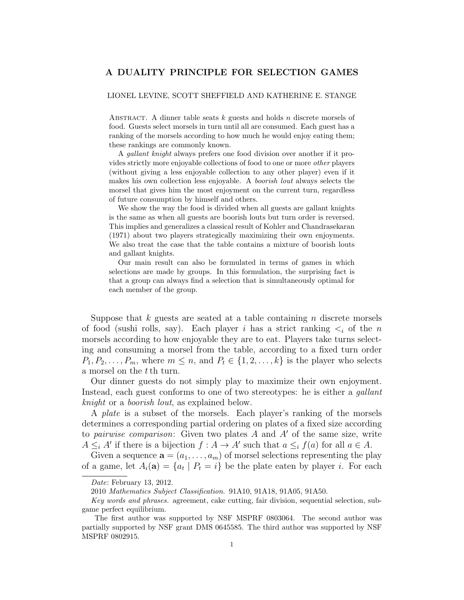## A DUALITY PRINCIPLE FOR SELECTION GAMES

## LIONEL LEVINE, SCOTT SHEFFIELD AND KATHERINE E. STANGE

ABSTRACT. A dinner table seats  $k$  guests and holds n discrete morsels of food. Guests select morsels in turn until all are consumed. Each guest has a ranking of the morsels according to how much he would enjoy eating them; these rankings are commonly known.

A gallant knight always prefers one food division over another if it provides strictly more enjoyable collections of food to one or more other players (without giving a less enjoyable collection to any other player) even if it makes his own collection less enjoyable. A boorish lout always selects the morsel that gives him the most enjoyment on the current turn, regardless of future consumption by himself and others.

We show the way the food is divided when all guests are gallant knights is the same as when all guests are boorish louts but turn order is reversed. This implies and generalizes a classical result of Kohler and Chandrasekaran (1971) about two players strategically maximizing their own enjoyments. We also treat the case that the table contains a mixture of boorish louts and gallant knights.

Our main result can also be formulated in terms of games in which selections are made by groups. In this formulation, the surprising fact is that a group can always find a selection that is simultaneously optimal for each member of the group.

Suppose that k guests are seated at a table containing  $n$  discrete morsels of food (sushi rolls, say). Each player i has a strict ranking  $\lt_i$  of the n morsels according to how enjoyable they are to eat. Players take turns selecting and consuming a morsel from the table, according to a fixed turn order  $P_1, P_2, \ldots, P_m$ , where  $m \leq n$ , and  $P_t \in \{1, 2, \ldots, k\}$  is the player who selects a morsel on the tth turn.

Our dinner guests do not simply play to maximize their own enjoyment. Instead, each guest conforms to one of two stereotypes: he is either a gallant knight or a boorish lout, as explained below.

A plate is a subset of the morsels. Each player's ranking of the morsels determines a corresponding partial ordering on plates of a fixed size according to *pairwise comparison*: Given two plates A and A' of the same size, write  $A \leq_i A'$  if there is a bijection  $f : A \to A'$  such that  $a \leq_i f(a)$  for all  $a \in A$ .

Given a sequence  $\mathbf{a} = (a_1, \ldots, a_m)$  of morsel selections representing the play of a game, let  $A_i(\mathbf{a}) = \{a_t \mid P_t = i\}$  be the plate eaten by player *i*. For each

Date: February 13, 2012.

<sup>2010</sup> Mathematics Subject Classification. 91A10, 91A18, 91A05, 91A50.

Key words and phrases. agreement, cake cutting, fair division, sequential selection, subgame perfect equilibrium.

The first author was supported by NSF MSPRF 0803064. The second author was partially supported by NSF grant DMS 0645585. The third author was supported by NSF MSPRF 0802915.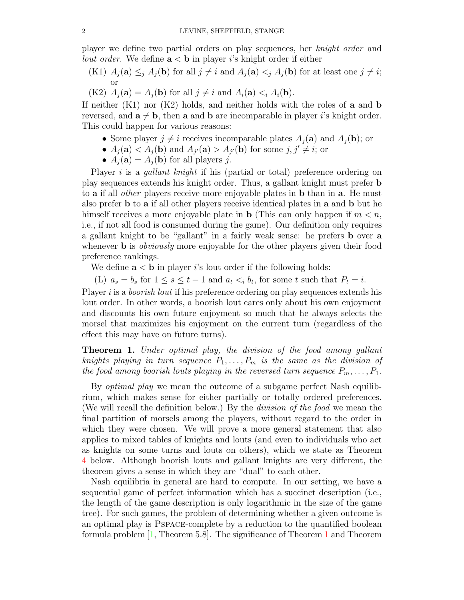player we define two partial orders on play sequences, her knight order and *lout order*. We define  $a < b$  in player is knight order if either

- (K1)  $A_j(\mathbf{a}) \leq j A_j(\mathbf{b})$  for all  $j \neq i$  and  $A_j(\mathbf{a}) \leq j A_j(\mathbf{b})$  for at least one  $j \neq i$ ; or
- (K2)  $A_i(\mathbf{a}) = A_i(\mathbf{b})$  for all  $j \neq i$  and  $A_i(\mathbf{a}) < i A_i(\mathbf{b})$ .

If neither  $(K1)$  nor  $(K2)$  holds, and neither holds with the roles of a and b reversed, and  $\mathbf{a} \neq \mathbf{b}$ , then **a** and **b** are incomparable in player is knight order. This could happen for various reasons:

- Some player  $j \neq i$  receives incomparable plates  $A_i(\mathbf{a})$  and  $A_i(\mathbf{b})$ ; or
- $A_j(\mathbf{a}) < A_j(\mathbf{b})$  and  $A_{j'}(\mathbf{a}) > A_{j'}(\mathbf{b})$  for some  $j, j' \neq i$ ; or
- $A_j(\mathbf{a}) = A_j(\mathbf{b})$  for all players j.

Player i is a *gallant knight* if his (partial or total) preference ordering on play sequences extends his knight order. Thus, a gallant knight must prefer b to **a** if all *other* players receive more enjoyable plates in **b** than in **a**. He must also prefer b to a if all other players receive identical plates in a and b but he himself receives a more enjoyable plate in **b** (This can only happen if  $m < n$ , i.e., if not all food is consumed during the game). Our definition only requires a gallant knight to be "gallant" in a fairly weak sense: he prefers b over a whenever **b** is *obviously* more enjoyable for the other players given their food preference rankings.

We define  $a < b$  in player is lout order if the following holds:

(L)  $a_s = b_s$  for  $1 \leq s \leq t-1$  and  $a_t < i_b$ , for some t such that  $P_t = i$ .

Player i is a *boorish lout* if his preference ordering on play sequences extends his lout order. In other words, a boorish lout cares only about his own enjoyment and discounts his own future enjoyment so much that he always selects the morsel that maximizes his enjoyment on the current turn (regardless of the effect this may have on future turns).

<span id="page-1-0"></span>**Theorem 1.** Under optimal play, the division of the food among gallant knights playing in turn sequence  $P_1, \ldots, P_m$  is the same as the division of the food among boorish louts playing in the reversed turn sequence  $P_m, \ldots, P_1$ .

By *optimal play* we mean the outcome of a subgame perfect Nash equilibrium, which makes sense for either partially or totally ordered preferences. (We will recall the definition below.) By the division of the food we mean the final partition of morsels among the players, without regard to the order in which they were chosen. We will prove a more general statement that also applies to mixed tables of knights and louts (and even to individuals who act as knights on some turns and louts on others), which we state as Theorem [4](#page-4-0) below. Although boorish louts and gallant knights are very different, the theorem gives a sense in which they are "dual" to each other.

Nash equilibria in general are hard to compute. In our setting, we have a sequential game of perfect information which has a succinct description (i.e., the length of the game description is only logarithmic in the size of the game tree). For such games, the problem of determining whether a given outcome is an optimal play is Pspace-complete by a reduction to the quantified boolean formula problem [\[1,](#page-7-0) Theorem 5.8]. The significance of Theorem [1](#page-1-0) and Theorem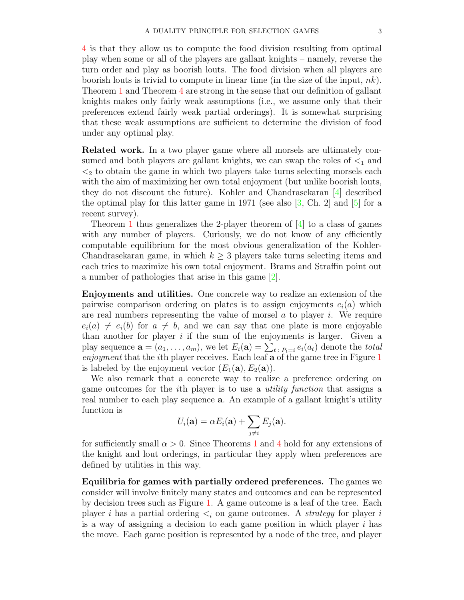[4](#page-4-0) is that they allow us to compute the food division resulting from optimal play when some or all of the players are gallant knights – namely, reverse the turn order and play as boorish louts. The food division when all players are boorish louts is trivial to compute in linear time (in the size of the input,  $nk$ ). Theorem [1](#page-1-0) and Theorem [4](#page-4-0) are strong in the sense that our definition of gallant knights makes only fairly weak assumptions (i.e., we assume only that their preferences extend fairly weak partial orderings). It is somewhat surprising that these weak assumptions are sufficient to determine the division of food under any optimal play.

Related work. In a two player game where all morsels are ultimately consumed and both players are gallant knights, we can swap the roles of  $\leq_1$  and  $\leq_2$  to obtain the game in which two players take turns selecting morsels each with the aim of maximizing her own total enjoyment (but unlike boorish louts, they do not discount the future). Kohler and Chandrasekaran [\[4\]](#page-7-1) described the optimal play for this latter game in 1971 (see also  $[3, Ch. 2]$  $[3, Ch. 2]$  and  $[5]$  for a recent survey).

Theorem [1](#page-1-0) thus generalizes the 2-player theorem of  $[4]$  to a class of games with any number of players. Curiously, we do not know of any efficiently computable equilibrium for the most obvious generalization of the Kohler-Chandrasekaran game, in which  $k \geq 3$  players take turns selecting items and each tries to maximize his own total enjoyment. Brams and Straffin point out a number of pathologies that arise in this game [\[2\]](#page-7-4).

Enjoyments and utilities. One concrete way to realize an extension of the pairwise comparison ordering on plates is to assign enjoyments  $e_i(a)$  which are real numbers representing the value of morsel  $\alpha$  to player i. We require  $e_i(a) \neq e_i(b)$  for  $a \neq b$ , and we can say that one plate is more enjoyable than another for player  $i$  if the sum of the enjoyments is larger. Given a play sequence  $\mathbf{a} = (a_1, \dots, a_m)$ , we let  $E_i(\mathbf{a}) = \sum_{t \in P_i} e_i(a_t)$  denote the *total* enjoyment that the *i*th player receives. Each leaf  $a$  of the game tree in Figure  $1$ is labeled by the enjoyment vector  $(E_1(\mathbf{a}), E_2(\mathbf{a}))$ .

We also remark that a concrete way to realize a preference ordering on game outcomes for the ith player is to use a utility function that assigns a real number to each play sequence a. An example of a gallant knight's utility function is

$$
U_i(\mathbf{a}) = \alpha E_i(\mathbf{a}) + \sum_{j \neq i} E_j(\mathbf{a}).
$$

for sufficiently small  $\alpha > 0$ . Since Theorems [1](#page-1-0) and [4](#page-4-0) hold for any extensions of the knight and lout orderings, in particular they apply when preferences are defined by utilities in this way.

Equilibria for games with partially ordered preferences. The games we consider will involve finitely many states and outcomes and can be represented by decision trees such as Figure [1.](#page-3-0) A game outcome is a leaf of the tree. Each player i has a partial ordering  $\lt_i$  on game outcomes. A *strategy* for player i is a way of assigning a decision to each game position in which player  $i$  has the move. Each game position is represented by a node of the tree, and player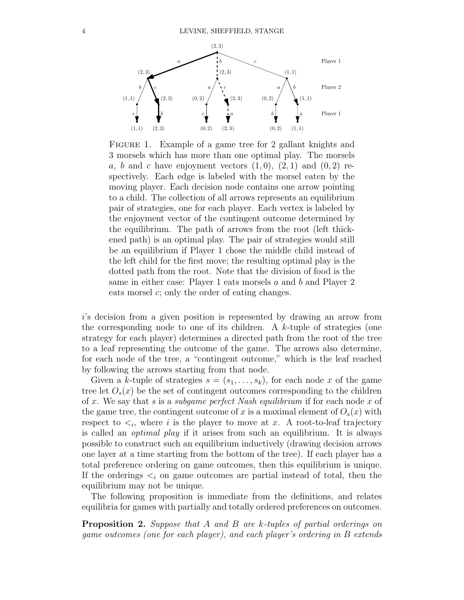

<span id="page-3-0"></span>FIGURE 1. Example of a game tree for 2 gallant knights and 3 morsels which has more than one optimal play. The morsels a, b and c have enjoyment vectors  $(1,0)$ ,  $(2,1)$  and  $(0,2)$  respectively. Each edge is labeled with the morsel eaten by the moving player. Each decision node contains one arrow pointing to a child. The collection of all arrows represents an equilibrium pair of strategies, one for each player. Each vertex is labeled by the enjoyment vector of the contingent outcome determined by the equilibrium. The path of arrows from the root (left thickened path) is an optimal play. The pair of strategies would still be an equilibrium if Player 1 chose the middle child instead of the left child for the first move; the resulting optimal play is the dotted path from the root. Note that the division of food is the same in either case: Player 1 eats morsels a and b and Player 2 eats morsel c; only the order of eating changes.

i's decision from a given position is represented by drawing an arrow from the corresponding node to one of its children. A  $k$ -tuple of strategies (one strategy for each player) determines a directed path from the root of the tree to a leaf representing the outcome of the game. The arrows also determine, for each node of the tree, a "contingent outcome," which is the leaf reached by following the arrows starting from that node.

Given a k-tuple of strategies  $s = (s_1, \ldots, s_k)$ , for each node x of the game tree let  $O_s(x)$  be the set of contingent outcomes corresponding to the children of x. We say that s is a subgame perfect Nash equilibrium if for each node x of the game tree, the contingent outcome of x is a maximal element of  $O_s(x)$  with respect to  $\lt_i$ , where i is the player to move at x. A root-to-leaf trajectory is called an optimal play if it arises from such an equilibrium. It is always possible to construct such an equilibrium inductively (drawing decision arrows one layer at a time starting from the bottom of the tree). If each player has a total preference ordering on game outcomes, then this equilibrium is unique. If the orderings  $\leq_i$  on game outcomes are partial instead of total, then the equilibrium may not be unique.

The following proposition is immediate from the definitions, and relates equilibria for games with partially and totally ordered preferences on outcomes.

<span id="page-3-1"></span>Proposition 2. Suppose that A and B are k-tuples of partial orderings on game outcomes (one for each player), and each player's ordering in B extends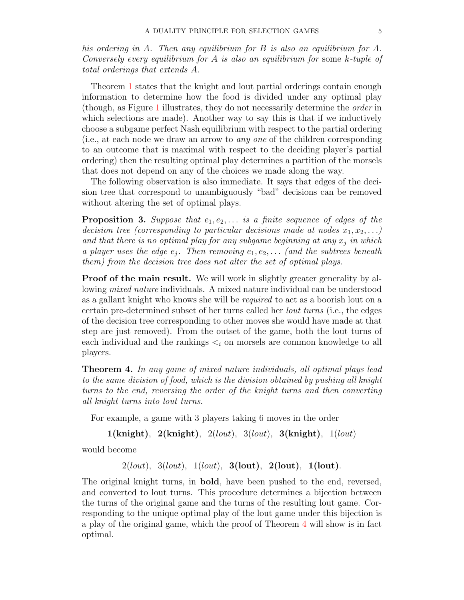his ordering in A. Then any equilibrium for B is also an equilibrium for A. Conversely every equilibrium for A is also an equilibrium for some k-tuple of total orderings that extends A.

Theorem [1](#page-1-0) states that the knight and lout partial orderings contain enough information to determine how the food is divided under any optimal play (though, as Figure [1](#page-3-0) illustrates, they do not necessarily determine the order in which selections are made). Another way to say this is that if we inductively choose a subgame perfect Nash equilibrium with respect to the partial ordering (i.e., at each node we draw an arrow to any one of the children corresponding to an outcome that is maximal with respect to the deciding player's partial ordering) then the resulting optimal play determines a partition of the morsels that does not depend on any of the choices we made along the way.

The following observation is also immediate. It says that edges of the decision tree that correspond to unambiguously "bad" decisions can be removed without altering the set of optimal plays.

<span id="page-4-1"></span>**Proposition 3.** Suppose that  $e_1, e_2, \ldots$  is a finite sequence of edges of the decision tree (corresponding to particular decisions made at nodes  $x_1, x_2, \ldots$ ) and that there is no optimal play for any subgame beginning at any  $x_j$  in which a player uses the edge  $e_j$ . Then removing  $e_1, e_2, \ldots$  (and the subtrees beneath them) from the decision tree does not alter the set of optimal plays.

Proof of the main result. We will work in slightly greater generality by allowing mixed nature individuals. A mixed nature individual can be understood as a gallant knight who knows she will be required to act as a boorish lout on a certain pre-determined subset of her turns called her lout turns (i.e., the edges of the decision tree corresponding to other moves she would have made at that step are just removed). From the outset of the game, both the lout turns of each individual and the rankings  $\lt_i$  on morsels are common knowledge to all players.

<span id="page-4-0"></span>**Theorem 4.** In any game of mixed nature individuals, all optimal plays lead to the same division of food, which is the division obtained by pushing all knight turns to the end, reversing the order of the knight turns and then converting all knight turns into lout turns.

For example, a game with 3 players taking 6 moves in the order

```
1(knight), 2(knight), 2(lout), 3(lout), 3(knight), 1(lout)
```
would become

 $2($ lout),  $3($ lout),  $1($ lout),  $3($ lout),  $2($ lout),  $1($ lout).

The original knight turns, in **bold**, have been pushed to the end, reversed, and converted to lout turns. This procedure determines a bijection between the turns of the original game and the turns of the resulting lout game. Corresponding to the unique optimal play of the lout game under this bijection is a play of the original game, which the proof of Theorem [4](#page-4-0) will show is in fact optimal.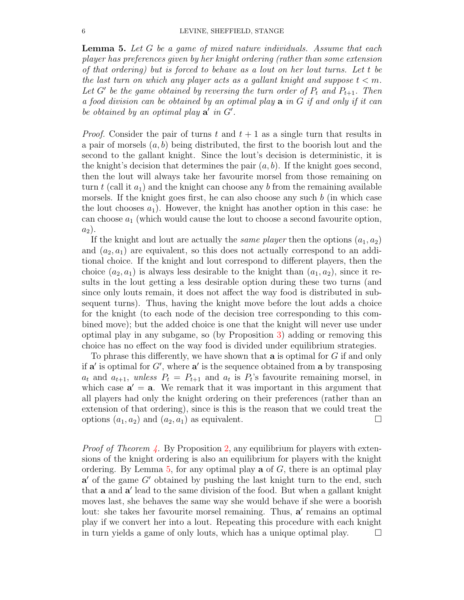<span id="page-5-0"></span>**Lemma 5.** Let G be a game of mixed nature individuals. Assume that each player has preferences given by her knight ordering (rather than some extension of that ordering) but is forced to behave as a lout on her lout turns. Let t be the last turn on which any player acts as a gallant knight and suppose  $t < m$ . Let G' be the game obtained by reversing the turn order of  $P_t$  and  $P_{t+1}$ . Then a food division can be obtained by an optimal play a in G if and only if it can be obtained by an optimal play  $a'$  in  $G'$ .

*Proof.* Consider the pair of turns t and  $t + 1$  as a single turn that results in a pair of morsels  $(a, b)$  being distributed, the first to the boorish lout and the second to the gallant knight. Since the lout's decision is deterministic, it is the knight's decision that determines the pair  $(a, b)$ . If the knight goes second, then the lout will always take her favourite morsel from those remaining on turn t (call it  $a_1$ ) and the knight can choose any b from the remaining available morsels. If the knight goes first, he can also choose any such  $b$  (in which case the lout chooses  $a_1$ ). However, the knight has another option in this case: he can choose  $a_1$  (which would cause the lout to choose a second favourite option,  $a_2$ ).

If the knight and lout are actually the *same player* then the options  $(a_1, a_2)$ and  $(a_2, a_1)$  are equivalent, so this does not actually correspond to an additional choice. If the knight and lout correspond to different players, then the choice  $(a_2, a_1)$  is always less desirable to the knight than  $(a_1, a_2)$ , since it results in the lout getting a less desirable option during these two turns (and since only louts remain, it does not affect the way food is distributed in subsequent turns). Thus, having the knight move before the lout adds a choice for the knight (to each node of the decision tree corresponding to this combined move); but the added choice is one that the knight will never use under optimal play in any subgame, so (by Proposition [3\)](#page-4-1) adding or removing this choice has no effect on the way food is divided under equilibrium strategies.

To phrase this differently, we have shown that a is optimal for G if and only if  $a'$  is optimal for  $G'$ , where  $a'$  is the sequence obtained from a by transposing  $a_t$  and  $a_{t+1}$ , unless  $P_t = P_{t+1}$  and  $a_t$  is  $P_t$ 's favourite remaining morsel, in which case  $a' = a$ . We remark that it was important in this argument that all players had only the knight ordering on their preferences (rather than an extension of that ordering), since is this is the reason that we could treat the options  $(a_1, a_2)$  and  $(a_2, a_1)$  as equivalent.

*Proof of Theorem [4.](#page-4-0)* By Proposition [2,](#page-3-1) any equilibrium for players with extensions of the knight ordering is also an equilibrium for players with the knight ordering. By Lemma [5,](#page-5-0) for any optimal play  $\bf{a}$  of  $G$ , there is an optimal play  $a'$  of the game  $G'$  obtained by pushing the last knight turn to the end, such that a and a' lead to the same division of the food. But when a gallant knight moves last, she behaves the same way she would behave if she were a boorish lout: she takes her favourite morsel remaining. Thus, a' remains an optimal play if we convert her into a lout. Repeating this procedure with each knight in turn yields a game of only louts, which has a unique optimal play.  $\Box$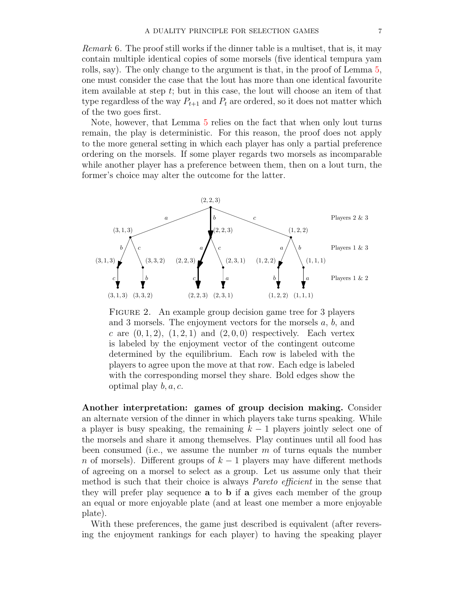Remark 6. The proof still works if the dinner table is a multiset, that is, it may contain multiple identical copies of some morsels (five identical tempura yam rolls, say). The only change to the argument is that, in the proof of Lemma [5,](#page-5-0) one must consider the case that the lout has more than one identical favourite item available at step t; but in this case, the lout will choose an item of that type regardless of the way  $P_{t+1}$  and  $P_t$  are ordered, so it does not matter which of the two goes first.

Note, however, that Lemma [5](#page-5-0) relies on the fact that when only lout turns remain, the play is deterministic. For this reason, the proof does not apply to the more general setting in which each player has only a partial preference ordering on the morsels. If some player regards two morsels as incomparable while another player has a preference between them, then on a lout turn, the former's choice may alter the outcome for the latter.



<span id="page-6-0"></span>FIGURE 2. An example group decision game tree for 3 players and 3 morsels. The enjoyment vectors for the morsels a, b, and c are  $(0, 1, 2)$ ,  $(1, 2, 1)$  and  $(2, 0, 0)$  respectively. Each vertex is labeled by the enjoyment vector of the contingent outcome determined by the equilibrium. Each row is labeled with the players to agree upon the move at that row. Each edge is labeled with the corresponding morsel they share. Bold edges show the optimal play  $b, a, c$ .

Another interpretation: games of group decision making. Consider an alternate version of the dinner in which players take turns speaking. While a player is busy speaking, the remaining  $k - 1$  players jointly select one of the morsels and share it among themselves. Play continues until all food has been consumed (i.e., we assume the number  $m$  of turns equals the number n of morsels). Different groups of  $k-1$  players may have different methods of agreeing on a morsel to select as a group. Let us assume only that their method is such that their choice is always Pareto efficient in the sense that they will prefer play sequence a to b if a gives each member of the group an equal or more enjoyable plate (and at least one member a more enjoyable plate).

With these preferences, the game just described is equivalent (after reversing the enjoyment rankings for each player) to having the speaking player